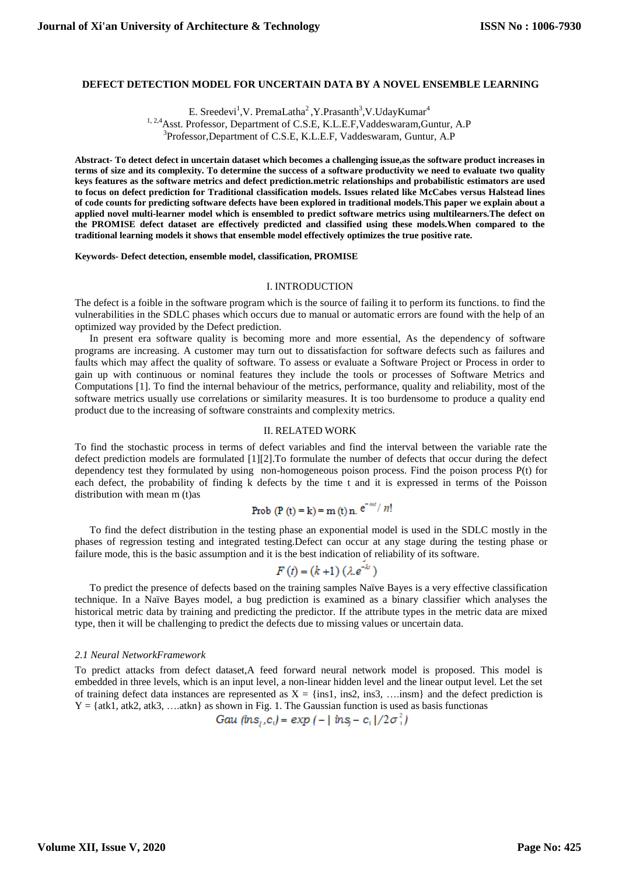# **DEFECT DETECTION MODEL FOR UNCERTAIN DATA BY A NOVEL ENSEMBLE LEARNING**

E. Sreedevi<sup>1</sup>, V. PremaLatha<sup>2</sup>, Y. Prasanth<sup>3</sup>, V. Uday Kumar<sup>4</sup>

<sup>1, 2,4</sup>Asst. Professor, Department of C.S.E, K.L.E.F, Vaddeswaram, Guntur, A.P

3 Professor,Department of C.S.E, K.L.E.F, Vaddeswaram, Guntur, A.P

**Abstract- To detect defect in uncertain dataset which becomes a challenging issue,as the software product increases in terms of size and its complexity. To determine the success of a software productivity we need to evaluate two quality keys features as the software metrics and defect prediction.metric relationships and probabilistic estimators are used to focus on defect prediction for Traditional classification models. Issues related like McCabes versus Halstead lines of code counts for predicting software defects have been explored in traditional models.This paper we explain about a applied novel multi-learner model which is ensembled to predict software metrics using multilearners.The defect on the PROMISE defect dataset are effectively predicted and classified using these models.When compared to the traditional learning models it shows that ensemble model effectively optimizes the true positive rate.**

**Keywords- Defect detection, ensemble model, classification, PROMISE**

#### I. INTRODUCTION

The defect is a foible in the software program which is the source of failing it to perform its functions. to find the vulnerabilities in the SDLC phases which occurs due to manual or automatic errors are found with the help of an optimized way provided by the Defect prediction.

In present era software quality is becoming more and more essential, As the dependency of software programs are increasing. A customer may turn out to dissatisfaction for software defects such as failures and faults which may affect the quality of software. To assess or evaluate a Software Project or Process in order to gain up with continuous or nominal features they include the tools or processes of Software Metrics and Computations [1]. To find the internal behaviour of the metrics, performance, quality and reliability, most of the software metrics usually use correlations or similarity measures. It is too burdensome to produce a quality end product due to the increasing of software constraints and complexity metrics.

### II. RELATED WORK

To find the stochastic process in terms of defect variables and find the interval between the variable rate the defect prediction models are formulated [1][2].To formulate the number of defects that occur during the defect dependency test they formulated by using non-homogeneous poison process. Find the poison process P(t) for each defect, the probability of finding k defects by the time t and it is expressed in terms of the Poisson distribution with mean m (t)as

**Prob** (**P** (**t**) = **k**) = **m** (**t**) **n**. 
$$
e^{-mt}/n!
$$

To find the defect distribution in the testing phase an exponential model is used in the SDLC mostly in the phases of regression testing and integrated testing.Defect can occur at any stage during the testing phase or failure mode, this is the basic assumption and it is the best indication of reliability of its software.

$$
F(t) = (k+1) (\lambda e^{-\lambda t})
$$

To predict the presence of defects based on the training samples Naïve Bayes is a very effective classification technique. In a Naïve Bayes model, a bug prediction is examined as a binary classifier which analyses the historical metric data by training and predicting the predictor. If the attribute types in the metric data are mixed type, then it will be challenging to predict the defects due to missing values or uncertain data.

### *2.1 Neural NetworkFramework*

To predict attacks from defect dataset,A feed forward neural network model is proposed. This model is embedded in three levels, which is an input level, a non-linear hidden level and the linear output level. Let the set of training defect data instances are represented as  $X = \{ins1, ins2, ins3, ... \}$  and the defect prediction is  $Y = \{atk1, atk2, atk3, \ldots atkn\}$  as shown in Fig. 1. The Gaussian function is used as basis functionas

Gau  $(\text{ins}_i, c_i) = \exp(-|\text{ins}_i - c_i|/2\sigma_i^2)$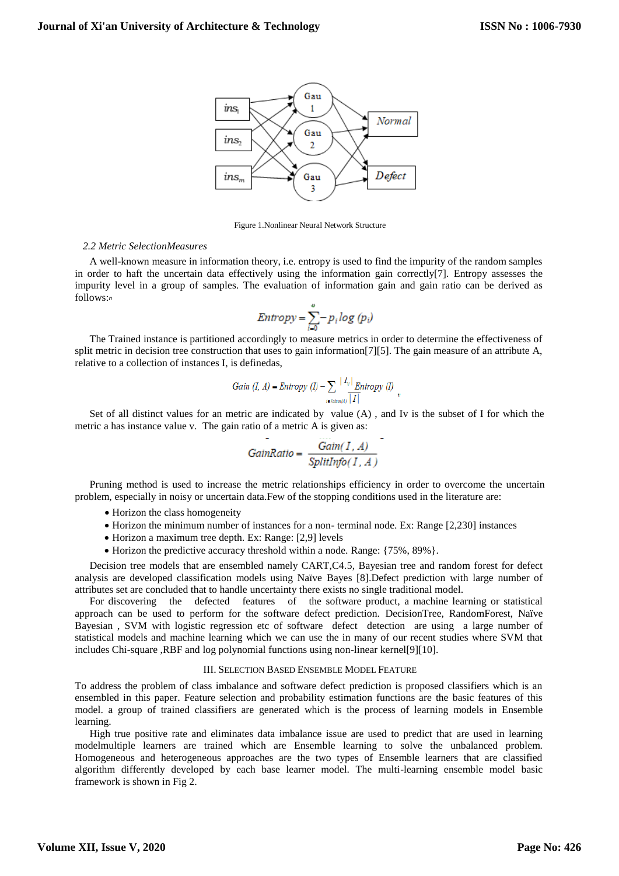

Figure 1.Nonlinear Neural Network Structure

# *2.2 Metric SelectionMeasures*

A well-known measure in information theory, i.e. entropy is used to find the impurity of the random samples in order to haft the uncertain data effectively using the information gain correctly[7]. Entropy assesses the impurity level in a group of samples. The evaluation of information gain and gain ratio can be derived as follows: *n*

$$
Entropy = \sum_{i=0}^{v} -p_i \log (p_i)
$$

The Trained instance is partitioned accordingly to measure metrics in order to determine the effectiveness of split metric in decision tree construction that uses to gain information[7][5]. The gain measure of an attribute A, relative to a collection of instances I, is definedas,

Gain (I, A) = Entropy (I) 
$$
-\sum_{i \in \text{Vahert}(i)} \frac{|I_v|}{|I|} \frac{Entropy (I)}{v}
$$

Set of all distinct values for an metric are indicated by value (A) , and Iv is the subset of I for which the metric a has instance value v. The gain ratio of a metric A is given as:

$$
GainRatio = \frac{Gain(I, A)}{SplitInfo(I, A)}
$$

Pruning method is used to increase the metric relationships efficiency in order to overcome the uncertain problem, especially in noisy or uncertain data.Few of the stopping conditions used in the literature are:

- Horizon the class homogeneity
- Horizon the minimum number of instances for a non- terminal node. Ex: Range [2,230] instances
- Horizon a maximum tree depth. Ex: Range: [2,9] levels
- Horizon the predictive accuracy threshold within a node. Range: {75%, 89%}.

Decision tree models that are ensembled namely CART,C4.5, Bayesian tree and random forest for defect analysis are developed classification models using Naïve Bayes [8].Defect prediction with large number of attributes set are concluded that to handle uncertainty there exists no single traditional model.

For discovering the defected features of the software product, a machine learning or statistical approach can be used to perform for the software defect prediction. DecisionTree, RandomForest, Naïve Bayesian , SVM with logistic regression etc of software defect detection are using a large number of statistical models and machine learning which we can use the in many of our recent studies where SVM that includes Chi-square ,RBF and log polynomial functions using non-linear kernel[9][10].

### III. SELECTION BASED ENSEMBLE MODEL FEATURE

To address the problem of class imbalance and software defect prediction is proposed classifiers which is an ensembled in this paper. Feature selection and probability estimation functions are the basic features of this model. a group of trained classifiers are generated which is the process of learning models in Ensemble learning.

High true positive rate and eliminates data imbalance issue are used to predict that are used in learning modelmultiple learners are trained which are Ensemble learning to solve the unbalanced problem. Homogeneous and heterogeneous approaches are the two types of Ensemble learners that are classified algorithm differently developed by each base learner model. The multi-learning ensemble model basic framework is shown in Fig 2.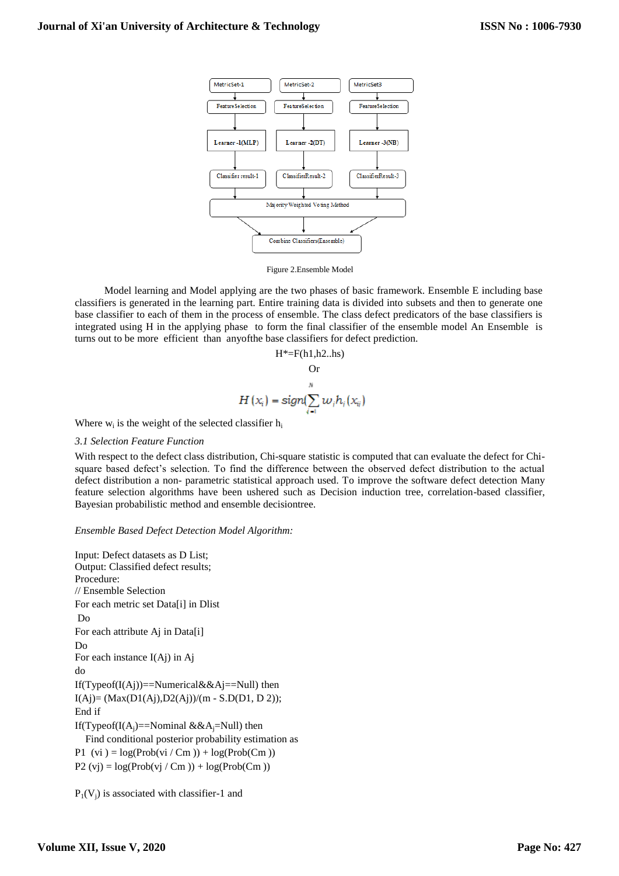

Figure 2.Ensemble Model

Model learning and Model applying are the two phases of basic framework. Ensemble E including base classifiers is generated in the learning part. Entire training data is divided into subsets and then to generate one base classifier to each of them in the process of ensemble. The class defect predicators of the base classifiers is integrated using H in the applying phase to form the final classifier of the ensemble model An Ensemble is turns out to be more efficient than anyofthe base classifiers for defect prediction.

$$
H^* = F(h1, h2..hs)
$$
  
Or  

$$
\sum_{i=1}^{N} w_i h_i(x_{ij})
$$

Where  $w_i$  is the weight of the selected classifier  $h_i$ 

## *3.1 Selection Feature Function*

With respect to the defect class distribution, Chi-square statistic is computed that can evaluate the defect for Chisquare based defect's selection. To find the difference between the observed defect distribution to the actual defect distribution a non- parametric statistical approach used. To improve the software defect detection Many feature selection algorithms have been ushered such as Decision induction tree, correlation-based classifier, Bayesian probabilistic method and ensemble decisiontree.

# *Ensemble Based Defect Detection Model Algorithm:*

Input: Defect datasets as D List; Output: Classified defect results; Procedure: // Ensemble Selection For each metric set Data[i] in Dlist Do For each attribute Aj in Data[i] Do For each instance I(Aj) in Aj do If(Typeof(I(Aj))==Numerical&&Aj==Null) then I(Aj)= (Max(D1(Aj),D2(Aj))/(m - S.D(D1, D 2)); End if If(Typeof(I(A<sub>i</sub>)==Nominal &&A<sub>i</sub>=Null) then Find conditional posterior probability estimation as P1 (vi  $) = log(Prob(vi / Cm)) + log(Prob(Cm))$ P2 (vj) =  $log(Prob(vj / Cm)) + log(Prob(Cm))$ 

 $P_1(V_i)$  is associated with classifier-1 and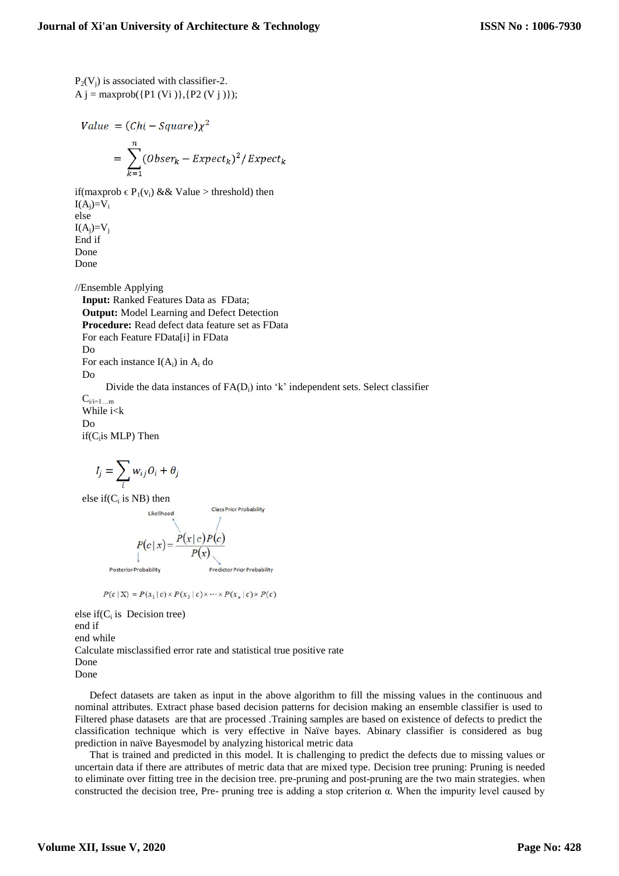$P_2(V_i)$  is associated with classifier-2. A  $j = maxprob({P1 (Vi)}{P2 (V j)});$ 

Value = 
$$
(Chi - Square)\chi^2
$$
  
= 
$$
\sum_{k=1}^{n} (Obser_k - Expect_k)^2 / Expect_k
$$

if(maxprob  $\in$  P<sub>1</sub>(v<sub>i</sub>) && Value > threshold) then  $I(A_i)=V_i$ else  $I(A_i)=V_i$ End if Done Done

//Ensemble Applying **Input:** Ranked Features Data as FData; **Output:** Model Learning and Defect Detection **Procedure:** Read defect data feature set as FData For each Feature FData[i] in FData Do For each instance  $I(A_i)$  in  $A_i$  do Do Divide the data instances of  $FA(D_i)$  into 'k' independent sets. Select classifier

 $C_{i/i=1...m}$ While i<k Do if(C<sub>i</sub>is MLP) Then

$$
I_j = \sum_i w_{ij} O_i + \theta_j
$$

Likelihood

else if( $C_i$  is NB) then

Posterio

Class Prior Probability

$$
P(c \mid x) = \frac{P(x \mid c) P(c)}{P(x)}
$$
\n<sup>1</sup>

 $P(c|X) = P(x_1|c) \times P(x_2|c) \times \cdots \times P(x_n|c) \times P(c)$ 

else if( $C_i$  is Decision tree) end if end while Calculate misclassified error rate and statistical true positive rate Done Done

Defect datasets are taken as input in the above algorithm to fill the missing values in the continuous and nominal attributes. Extract phase based decision patterns for decision making an ensemble classifier is used to Filtered phase datasets are that are processed .Training samples are based on existence of defects to predict the classification technique which is very effective in Naïve bayes. Abinary classifier is considered as bug prediction in naïve Bayesmodel by analyzing historical metric data

That is trained and predicted in this model. It is challenging to predict the defects due to missing values or uncertain data if there are attributes of metric data that are mixed type. Decision tree pruning: Pruning is needed to eliminate over fitting tree in the decision tree. pre-pruning and post-pruning are the two main strategies. when constructed the decision tree, Pre- pruning tree is adding a stop criterion α. When the impurity level caused by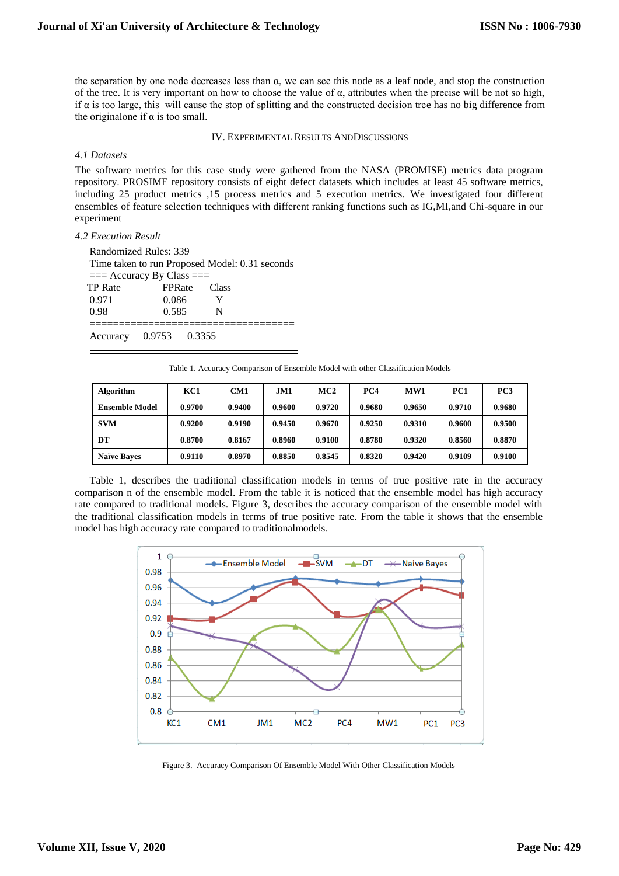the separation by one node decreases less than  $\alpha$ , we can see this node as a leaf node, and stop the construction of the tree. It is very important on how to choose the value of  $\alpha$ , attributes when the precise will be not so high, if  $\alpha$  is too large, this will cause the stop of splitting and the constructed decision tree has no big difference from the originalone if  $\alpha$  is too small.

### IV. EXPERIMENTAL RESULTS ANDDISCUSSIONS

# *4.1 Datasets*

The software metrics for this case study were gathered from the NASA (PROMISE) metrics data program repository. PROSIME repository consists of eight defect datasets which includes at least 45 software metrics, including 25 product metrics ,15 process metrics and 5 execution metrics. We investigated four different ensembles of feature selection techniques with different ranking functions such as IG,MI,and Chi-square in our experiment

### *4.2 Execution Result*

| Randomized Rules: 339<br>Time taken to run Proposed Model: 0.31 seconds<br>$==$ Accuracy By Class $==$ |               |   |  |  |  |  |  |  |  |
|--------------------------------------------------------------------------------------------------------|---------------|---|--|--|--|--|--|--|--|
| <b>TP</b> Rate                                                                                         | FPRate Class  |   |  |  |  |  |  |  |  |
| 0.971                                                                                                  | 0.086         | Y |  |  |  |  |  |  |  |
| 0.98                                                                                                   | 0.585         | N |  |  |  |  |  |  |  |
|                                                                                                        |               |   |  |  |  |  |  |  |  |
| Accuracy                                                                                               | 0.9753 0.3355 |   |  |  |  |  |  |  |  |

Table 1. Accuracy Comparison of Ensemble Model with other Classification Models

| Algorithm             | KC1    | CM1    | JM1    | MC2    | PC4    | WW1    | PC1    | PC <sub>3</sub> |
|-----------------------|--------|--------|--------|--------|--------|--------|--------|-----------------|
| <b>Ensemble Model</b> | 0.9700 | 0.9400 | 0.9600 | 0.9720 | 0.9680 | 0.9650 | 0.9710 | 0.9680          |
| <b>SVM</b>            | 0.9200 | 0.9190 | 0.9450 | 0.9670 | 0.9250 | 0.9310 | 0.9600 | 0.9500          |
| DT                    | 0.8700 | 0.8167 | 0.8960 | 0.9100 | 0.8780 | 0.9320 | 0.8560 | 0.8870          |
| <b>Naïve Baves</b>    | 0.9110 | 0.8970 | 0.8850 | 0.8545 | 0.8320 | 0.9420 | 0.9109 | 0.9100          |

Table 1, describes the traditional classification models in terms of true positive rate in the accuracy comparison n of the ensemble model. From the table it is noticed that the ensemble model has high accuracy rate compared to traditional models. Figure 3, describes the accuracy comparison of the ensemble model with the traditional classification models in terms of true positive rate. From the table it shows that the ensemble model has high accuracy rate compared to traditionalmodels.



Figure 3. Accuracy Comparison Of Ensemble Model With Other Classification Models